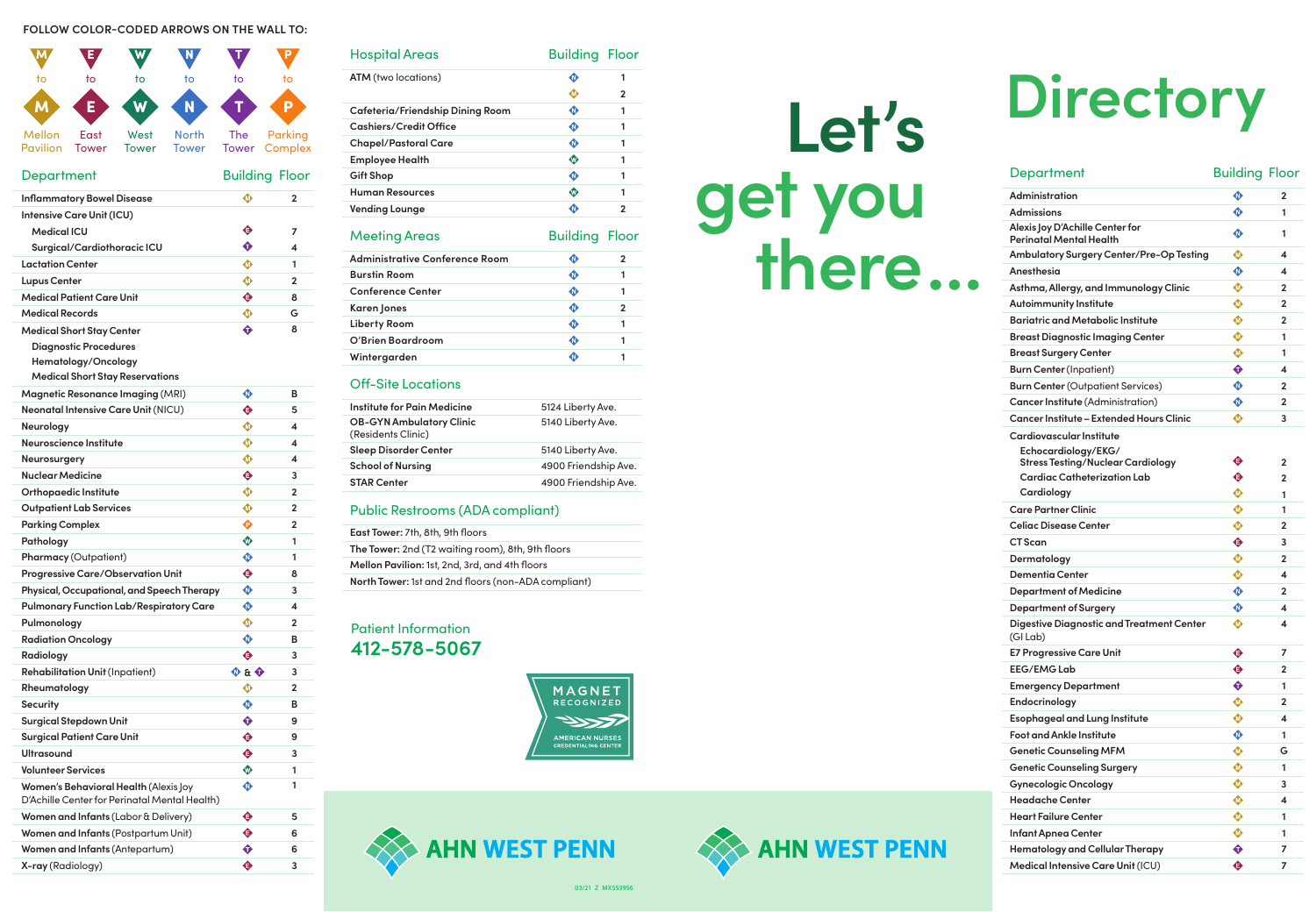**Let's** 

**get you**

**Alexis Cardio Echocardiology/EKG/** Car **Cardiology Digest**  $(G|La)$ 

**there…**

03/21 Z MX553956

| <b>Department</b>                                          | <b>Building Floor</b> |                |
|------------------------------------------------------------|-----------------------|----------------|
| Administration                                             | ♦                     | 2              |
| Admissions                                                 | $\mathbf \Phi$        | 1              |
| Alexis Joy D'Achille Center for<br>Perinatal Mental Health | ◐                     | 1              |
| Ambulatory Surgery Center/Pre-Op Testing                   | ◍                     | 4              |
| Anesthesia                                                 |                       | 4              |
| Asthma, Allergy, and Immunology Clinic                     |                       | $\mathbf{2}$   |
| <b>Autoimmunity Institute</b>                              |                       | $\overline{2}$ |
| Bariatric and Metabolic Institute                          | ◍                     | $\mathbf{2}$   |
| Breast Diagnostic Imaging Center                           | ◍                     | 1              |
| <b>Breast Surgery Center</b>                               | ⊕                     | 1              |
| <b>Burn Center</b> (Inpatient)                             | ♦                     | 4              |
| <b>Burn Center</b> (Outpatient Services)                   | ◐                     | 2              |
| Cancer Institute (Administration)                          | ♦                     | 2              |
| Cancer Institute – Extended Hours Clinic                   | ◍                     | 3              |
| Cardiovascular Institute                                   |                       |                |
| Echocardiology/EKG/                                        |                       |                |
| <b>Stress Testing/Nuclear Cardiology</b>                   | ◕                     | $\mathbf{2}$   |
| Cardiac Catheterization Lab                                | ♦                     | 2              |
| Cardiology                                                 | ◍                     | 1              |
| Care Partner Clinic                                        |                       | 1              |
| Celiac Disease Center                                      | ◍                     | $\mathbf{2}$   |
| <b>CT</b> Scan                                             | ♦                     | 3              |
| Dermatology                                                | ◍                     | $\mathbf{2}$   |
| Dementia Center                                            | ◍                     | 4              |
| <b>Department of Medicine</b>                              | ♦                     | $\mathbf{2}$   |
| Department of Surgery                                      | $\bullet$             | 4              |
| Digestive Diagnostic and Treatment Center<br>(GI Lab)      | ◍                     | 4              |
| E7 Progressive Care Unit                                   | ♦                     | 7              |
| <b>EEG/EMG Lab</b>                                         | ♦                     | $\overline{2}$ |
| <b>Emergency Department</b>                                | ♦                     | 1              |
| Endocrinology                                              | ⊕                     | 2              |
| <b>Esophageal and Lung Institute</b>                       |                       | 4              |
| <b>Foot and Ankle Institute</b>                            | ♦                     | 1              |
| <b>Genetic Counseling MFM</b>                              | ◍                     | G              |
| <b>Genetic Counseling Surgery</b>                          | ◍                     | 1              |
| <b>Gynecologic Oncology</b>                                | $\mathbf{\Phi}$       | 3              |
| <b>Headache Center</b>                                     | ◍                     | 4              |
| <b>Heart Failure Center</b>                                | ◍                     | 1              |
| Infant Apnea Center                                        | ⊕                     | 1              |
| Hematology and Cellular Therapy                            | $\hat{\mathbf{v}}$    | 7              |
| Medical Intensive Care Unit (ICU)                          | ♦                     | 7              |

# **Directory**

### **FOLLOW COLOR-CODED ARROWS ON THE WALL TO:**



| <b>Hospital Areas</b>            | <b>Building Floor</b> |                |
|----------------------------------|-----------------------|----------------|
| <b>ATM</b> (two locations)       | ◑                     | 1              |
|                                  | $\pmb{\Phi}$          | $\mathbf{2}$   |
| Cafeteria/Friendship Dining Room | ♦                     | 1              |
| Cashiers/Credit Office           | ♦                     | 1              |
| <b>Chapel/Pastoral Care</b>      | ♦                     | 1              |
| <b>Employee Health</b>           | ⊕                     | 1              |
| Gift Shop                        | ♦                     | 1              |
| <b>Human Resources</b>           | ⊕                     | 1              |
| Vending Lounge                   | ♦                     | 2              |
| <b>Meeting Areas</b>             | <b>Building Floor</b> |                |
| Administrative Conference Room   | ♦                     | $\overline{2}$ |
| <b>Burstin Room</b>              | ◐                     | 1              |
| <b>Conference Center</b>         | $\bullet$             | 1              |
| Karen Jones                      | ♦                     | $\mathbf{2}$   |
| <b>Liberty Room</b>              | $\bullet$             | 1              |
| O'Brien Boardroom                | $\mathbf \Phi$        | 1              |
| Wintergarden                     | ◑                     | 1              |
|                                  |                       |                |

## Off-Site Locations

| Institute for Pain Medicine                           | 5124 Liberty Ave.    |
|-------------------------------------------------------|----------------------|
| <b>OB-GYN Ambulatory Clinic</b><br>(Residents Clinic) | 5140 Liberty Ave.    |
| <b>Sleep Disorder Center</b>                          | 5140 Liberty Ave.    |
| <b>School of Nursing</b>                              | 4900 Friendship Ave. |
| <b>STAR Center</b>                                    | 4900 Friendship Ave. |
|                                                       |                      |

## Public Restrooms (ADA compliant)

| <b>East Tower: 7th, 8th, 9th floors</b>             |
|-----------------------------------------------------|
| The Tower: 2nd (T2 waiting room), 8th, 9th floors   |
| Mellon Pavilion: 1st, 2nd, 3rd, and 4th floors      |
| North Tower: 1st and 2nd floors (non-ADA compliant) |

# Patient Information **412-578-5067**



# **AHN WEST**